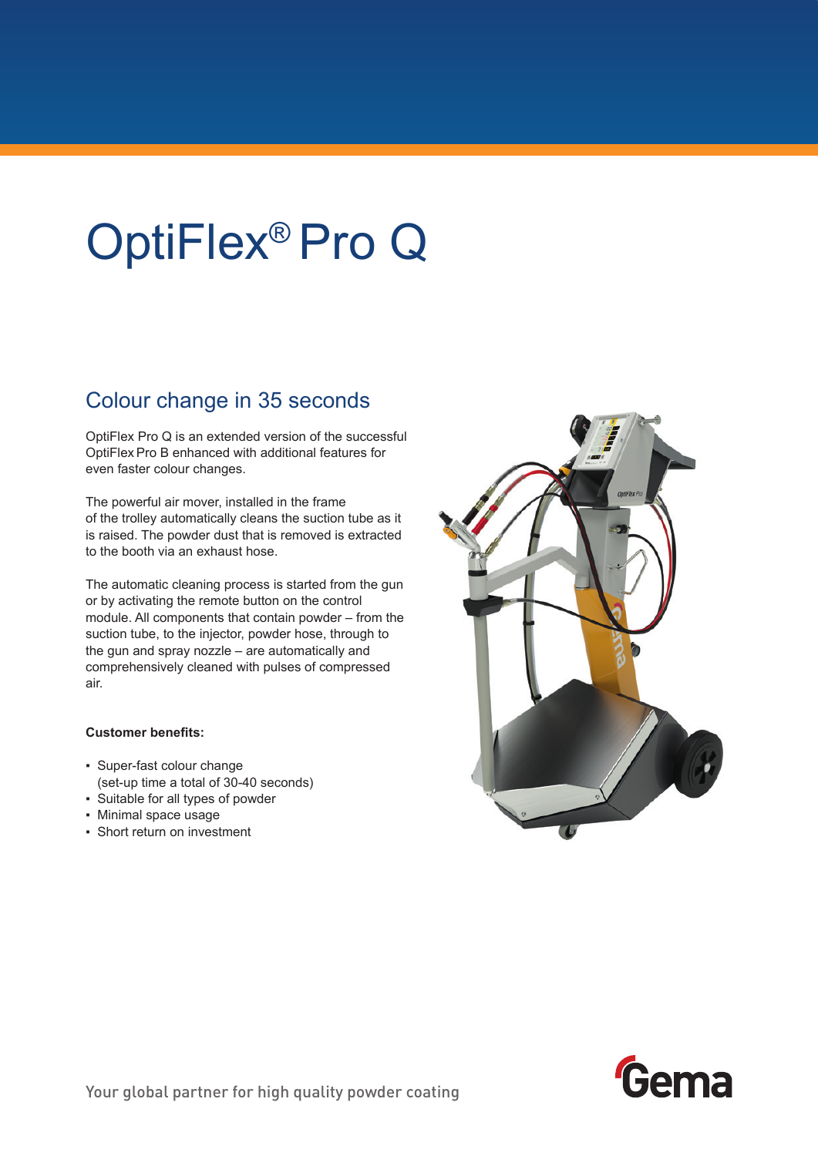# OptiFlex® Pro Q

## Colour change in 35 seconds

OptiFlex Pro Q is an extended version of the successful OptiFlexPro B enhanced with additional features for even faster colour changes.

The powerful air mover, installed in the frame of the trolley automatically cleans the suction tube as it is raised. The powder dust that is removed is extracted to the booth via an exhaust hose.

The automatic cleaning process is started from the gun or by activating the remote button on the control module. All components that contain powder – from the suction tube, to the injector, powder hose, through to the gun and spray nozzle – are automatically and comprehensively cleaned with pulses of compressed air.

### **Customer benefits:**

- Super-fast colour change (set-up time a total of 30-40 seconds)
- Suitable for all types of powder
- Minimal space usage
- Short return on investment